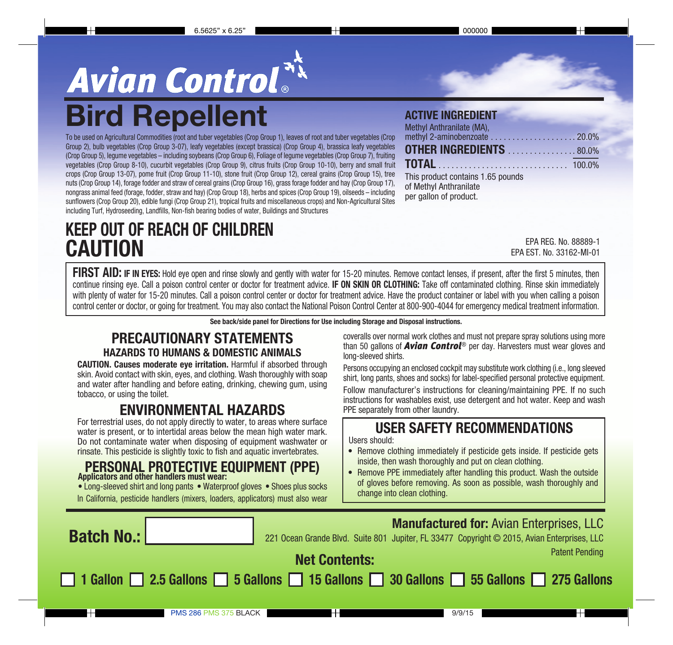# **Avian Control<sup>NX</sup>**<br>Bird Repellent ACTIVE INGREDIENT

To be used on Agricultural Commodities (root and tuber vegetables (Crop Group 1), leaves of root and tuber vegetables (Crop Group 2), bulb vegetables (Crop Group 3-07), leafy vegetables (except brassica) (Crop Group 4), brassica leafy vegetables (Crop Group 5), legume vegetables – including soybeans (Crop Group 6), Foliage of legume vegetables (Crop Group 7), fruiting vegetables (Crop Group 8-10), cucurbit vegetables (Crop Group 9), citrus fruits (Crop Group 10-10), berry and small fruit crops (Crop Group 13-07), pome fruit (Crop Group 11-10), stone fruit (Crop Group 12), cereal grains (Crop Group 15), tree nuts (Crop Group 14), forage fodder and straw of cereal grains (Crop Group 16), grass forage fodder and hay (Crop Group 17), nongrass animal feed (forage, fodder, straw and hay) (Crop Group 18), herbs and spices (Crop Group 19), oilseeds – including sunflowers (Crop Group 20), edible fungi (Crop Group 21), tropical fruits and miscellaneous crops) and Non-Agricultural Sites including Turf, Hydroseeding, Landfills, Non-fish bearing bodies of water, Buildings and Structures

# KEEP OUT OF REACH OF CHILDREN **CAUTION**

| Methyl Anthranilate (MA),                                                             |  |
|---------------------------------------------------------------------------------------|--|
|                                                                                       |  |
| <b>OTHER INGREDIENTS</b> 80.0%                                                        |  |
|                                                                                       |  |
| This product contains 1.65 pounds<br>of Methyl Anthranilate<br>per gallon of product. |  |

EPA REG. No. 88889-1 EPA EST. No. 33162-MI-01

FIRST AID: IF IN EYES: Hold eye open and rinse slowly and gently with water for 15-20 minutes. Remove contact lenses, if present, after the first 5 minutes, then continue rinsing eye. Call a poison control center or doctor for treatment advice. **IF ON SKIN OR CLOTHING:** Take off contaminated clothing. Rinse skin immediately with plenty of water for 15-20 minutes. Call a poison control center or doctor for treatment advice. Have the product container or label with you when calling a poison control center or doctor, or going for treatment. You may also contact the National Poison Control Center at 800-900-4044 for emergency medical treatment information.

See back/side panel for Directions for Use including Storage and Disposal instructions.

## PRECAUTIONARY STATEMENTS HAZARDS TO HUMANS & DOMESTIC ANIMALS

CAUTION. Causes moderate eye irritation. Harmful if absorbed through skin. Avoid contact with skin, eyes, and clothing. Wash thoroughly with soap and water after handling and before eating, drinking, chewing gum, using tobacco, or using the toilet.

## ENVIRONMENTAL HAZARDS

For terrestrial uses, do not apply directly to water, to areas where surface water is present, or to intertidal areas below the mean high water mark. Do not contaminate water when disposing of equipment washwater or rinsate. This pesticide is slightly toxic to fish and aquatic invertebrates.

#### PERSONAL PROTECTIVE EQUIPMENT (PPE) Applicators and other handlers must wear:

• Long-sleeved shirt and long pants • Waterproof gloves • Shoes plus socks In California, pesticide handlers (mixers, loaders, applicators) must also wear

coveralls over normal work clothes and must not prepare spray solutions using more than 50 gallons of *Avian Control*® per day. Harvesters must wear gloves and long-sleeved shirts.

Persons occupying an enclosed cockpit may substitute work clothing (i.e., long sleeved shirt, long pants, shoes and socks) for label-specified personal protective equipment. Follow manufacturer's instructions for cleaning/maintaining PPE. If no such instructions for washables exist, use detergent and hot water. Keep and wash PPE separately from other laundry.

## USER SAFETY RECOMMENDATIONS

Users should:

- Remove clothing immediately if pesticide gets inside. If pesticide gets inside, then wash thoroughly and put on clean clothing.
- Remove PPE immediately after handling this product. Wash the outside of gloves before removing. As soon as possible, wash thoroughly and change into clean clothing.

| <b>Batch No.:</b>      | 221 Ocean Grande Blvd. Suite 801 Jupiter, FL 33477 Copyright © 2015, Avian Enterprises, LLC | <b>Manufactured for: Avian Enterprises, LLC</b> |
|------------------------|---------------------------------------------------------------------------------------------|-------------------------------------------------|
|                        | <b>Net Contents:</b>                                                                        | <b>Patent Pending</b>                           |
|                        | 1 Gallon 2.5 Gallons 5 Gallons 15 Gallons 30 Gallons 55 Gallons 275 Gallons                 |                                                 |
| <b>PMS 286 PMS 375</b> | BLACK                                                                                       | 9/9/15                                          |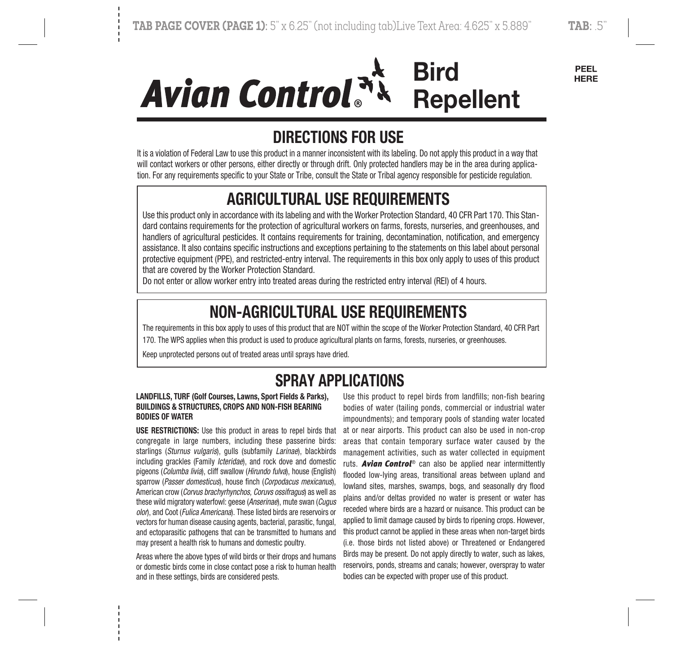# **Bird Avian Control**<sup>3</sup> **Repellent**

PEEL **HERE** 

# DIRECTIONS FOR USE

It is a violation of Federal Law to use this product in a manner inconsistent with its labeling. Do not apply this product in a way that will contact workers or other persons, either directly or through drift. Only protected handlers may be in the area during application. For any requirements specific to your State or Tribe, consult the State or Tribal agency responsible for pesticide regulation.

# AGRICULTURAL USE REQUIREMENTS

Use this product only in accordance with its labeling and with the Worker Protection Standard, 40 CFR Part 170. This Standard contains requirements for the protection of agricultural workers on farms, forests, nurseries, and greenhouses, and handlers of agricultural pesticides. It contains requirements for training, decontamination, notification, and emergency assistance. It also contains specific instructions and exceptions pertaining to the statements on this label about personal protective equipment (PPE), and restricted-entry interval. The requirements in this box only apply to uses of this product that are covered by the Worker Protection Standard.

Do not enter or allow worker entry into treated areas during the restricted entry interval (REI) of 4 hours.

# NON-AGRICULTURAL USE REQUIREMENTS

The requirements in this box apply to uses of this product that are NOT within the scope of the Worker Protection Standard, 40 CFR Part 170. The WPS applies when this product is used to produce agricultural plants on farms, forests, nurseries, or greenhouses.

Keep unprotected persons out of treated areas until sprays have dried.

# SPRAY APPLICATIONS

#### LANDFILLS, TURF (Golf Courses, Lawns, Sport Fields & Parks), BUILDINGS & STRUCTURES, CROPS AND NON-FISH BEARING BODIES OF WATER

USE RESTRICTIONS: Use this product in areas to repel birds that congregate in large numbers, including these passerine birds: starlings (Sturnus vulgaris), gulls (subfamily Larinae), blackbirds including grackles (Family Icteridae), and rock dove and domestic pigeons (Columba livia), cliff swallow (Hirundo fulva), house (English) sparrow (Passer domesticus), house finch (Corpodacus mexicanus), American crow (Corvus brachyrhynchos, Coruvs ossifragus) as well as these wild migratory waterfowl: geese (Anserinae), mute swan (Cugus olon, and Coot (Fulica Americana). These listed birds are reservoirs or vectors for human disease causing agents, bacterial, parasitic, fungal, and ectoparasitic pathogens that can be transmitted to humans and may present a health risk to humans and domestic poultry.

Areas where the above types of wild birds or their drops and humans or domestic birds come in close contact pose a risk to human health and in these settings, birds are considered pests.

Use this product to repel birds from landfills; non-fish bearing bodies of water (tailing ponds, commercial or industrial water impoundments); and temporary pools of standing water located at or near airports. This product can also be used in non-crop areas that contain temporary surface water caused by the management activities, such as water collected in equipment ruts. *Avian Control*® can also be applied near intermittently flooded low-lying areas, transitional areas between upland and lowland sites, marshes, swamps, bogs, and seasonally dry flood plains and/or deltas provided no water is present or water has receded where birds are a hazard or nuisance. This product can be applied to limit damage caused by birds to ripening crops. However, this product cannot be applied in these areas when non-target birds (i.e. those birds not listed above) or Threatened or Endangered Birds may be present. Do not apply directly to water, such as lakes, reservoirs, ponds, streams and canals; however, overspray to water bodies can be expected with proper use of this product.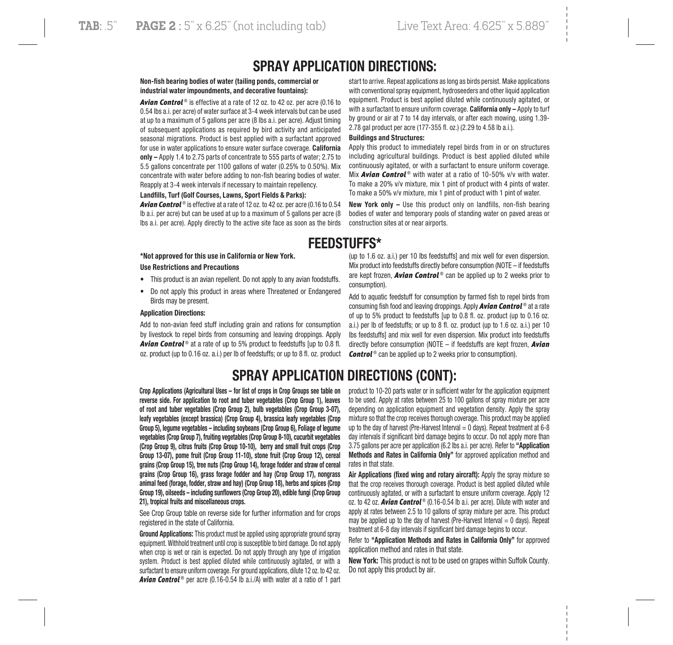## SPRAY APPLICATION DIRECTIONS:

#### Non-fsh bearing bodies of water (tailing ponds, commercial or industrial water impoundments, and decorative fountains):

**Avian Control**<sup>®</sup> is effective at a rate of 12 oz. to 42 oz. per acre (0.16 to 0.54 lbs a.i. per acre) of water surface at 3-4 week intervals but can be used at up to a maximum of 5 gallons per acre (8 lbs a.i. per acre). Adjust timing of subsequent applications as required by bird activity and anticipated seasonal migrations. Product is best applied with a surfactant approved for use in water applications to ensure water surface coverage. California only – Apply 1.4 to 2.75 parts of concentrate to 555 parts of water; 2.75 to 5.5 gallons concentrate per 1100 gallons of water (0.25% to 0.50%). Mix concentrate with water before adding to non-fish bearing bodies of water. Reapply at 3-4 week intervals if necessary to maintain repellency.

#### Landflls, Turf (Golf Courses, Lawns, Sport Fields & Parks):

*Avian Control* ® is effective at a rate of 12 oz. to 42 oz. per acre (0.16 to 0.54 lb a.i. per acre) but can be used at up to a maximum of 5 gallons per acre (8 lbs a.i. per acre). Apply directly to the active site face as soon as the birds

\*Not approved for this use in California or New York.

#### Use Restrictions and Precautions

- This product is an avian repellent. Do not apply to any avian foodstuffs.
- Do not apply this product in areas where Threatened or Endangered Birds may be present.

#### Application Directions:

Add to non-avian feed stuff including grain and rations for consumption by livestock to repel birds from consuming and leaving droppings. Apply **Avian Control**<sup>®</sup> at a rate of up to 5% product to feedstuffs [up to 0.8 fl. oz. product (up to 0.16 oz. a.i.) per lb of feedstuffs; or up to 8 fl. oz. product

start to arrive. Repeat applications as long as birds persist. Make applications with conventional spray equipment, hydroseeders and other liquid application equipment. Product is best applied diluted while continuously agitated, or with a surfactant to ensure uniform coverage. California only - Apply to turf by ground or air at 7 to 14 day intervals, or after each mowing, using 1.39- 2.78 gal product per acre (177-355 fl. oz.) (2.29 to 4.58 lb a.i.).

#### Buildings and Structures:

Apply this product to immediately repel birds from in or on structures including agricultural buildings. Product is best applied diluted while continuously agitated, or with a surfactant to ensure uniform coverage. Mix **Avian Control**<sup>®</sup> with water at a ratio of 10-50% v/v with water. To make a 20% v/v mixture, mix 1 pint of product with 4 pints of water. To make a 50% v/v mixture, mix 1 pint of product with 1 pint of water.

New York only – Use this product only on landfills, non-fish bearing bodies of water and temporary pools of standing water on paved areas or construction sites at or near airports.

## FEEDSTUFFS\*

(up to 1.6 oz. a.i.) per 10 lbs feedstuffs] and mix well for even dispersion. Mix product into feedstuffs directly before consumption (NOTE – if feedstuffs are kept frozen, *Avian Control* ® can be applied up to 2 weeks prior to consumption).

Add to aquatic feedstuff for consumption by farmed fish to repel birds from consuming fish food and leaving droppings. Apply *Avian Control* ® at a rate of up to 5% product to feedstuffs [up to 0.8 fl. oz. product (up to 0.16 oz. a.i.) per lb of feedstuffs; or up to 8 fl. oz. product (up to 1.6 oz. a.i.) per 10 lbs feedstuffs] and mix well for even dispersion. Mix product into feedstuffs directly before consumption (NOTE – if feedstuffs are kept frozen, *Avian Control* <sup>®</sup> can be applied up to 2 weeks prior to consumption).

## SPRAY APPLICATION DIRECTIONS (CONT):

Crop Applications (Agricultural Uses – for list of crops in Crop Groups see table on reverse side. For application to root and tuber vegetables (Crop Group 1), leaves of root and tuber vegetables (Crop Group 2), bulb vegetables (Crop Group 3-07), leafy vegetables (except brassica) (Crop Group 4), brassica leafy vegetables (Crop Group 5), legume vegetables – including soybeans (Crop Group 6), Foliage of legume vegetables (Crop Group 7), fruiting vegetables (Crop Group 8-10), cucurbit vegetables (Crop Group 9), citrus fruits (Crop Group 10-10), berry and small fruit crops (Crop Group 13-07), pome fruit (Crop Group 11-10), stone fruit (Crop Group 12), cereal grains (Crop Group 15), tree nuts (Crop Group 14), forage fodder and straw of cereal grains (Crop Group 16), grass forage fodder and hay (Crop Group 17), nongrass animal feed (forage, fodder, straw and hay) (Crop Group 18), herbs and spices (Crop Group 19), oilseeds – including sunfowers (Crop Group 20), edible fungi (Crop Group 21), tropical fruits and miscellaneous crops.

See Crop Group table on reverse side for further information and for crops registered in the state of California.

Ground Applications: This product must be applied using appropriate ground spray equipment. Withhold treatment until crop is susceptible to bird damage. Do not apply when crop is wet or rain is expected. Do not apply through any type of irrigation system. Product is best applied diluted while continuously agitated, or with a surfactant to ensure uniform coverage. For ground applications, dilute 12 oz. to 42 oz. **Avian Control**<sup>®</sup> per acre (0.16-0.54 lb a.i./A) with water at a ratio of 1 part

product to 10-20 parts water or in sufficient water for the application equipment to be used. Apply at rates between 25 to 100 gallons of spray mixture per acre depending on application equipment and vegetation density. Apply the spray mixture so that the crop receives thorough coverage. This product may be applied up to the day of harvest (Pre-Harvest Interval  $= 0$  days). Repeat treatment at 6-8 day intervals if significant bird damage begins to occur. Do not apply more than 3.75 gallons per acre per application (6.2 lbs a.i. per acre). Refer to "Application Methods and Rates in California Only" for approved application method and rates in that state.

Air Applications (fixed wing and rotary aircraft): Apply the spray mixture so that the crop receives thorough coverage. Product is best applied diluted while continuously agitated, or with a surfactant to ensure uniform coverage. Apply 12 oz. to 42 oz. *Avian Control* ® (0.16-0.54 lb a.i. per acre). Dilute with water and apply at rates between 2.5 to 10 gallons of spray mixture per acre. This product may be applied up to the day of harvest (Pre-Harvest Interval  $= 0$  days). Repeat treatment at 6-8 day intervals if significant bird damage begins to occur.

Refer to "Application Methods and Rates in California Only" for approved application method and rates in that state.

New York: This product is not to be used on grapes within Suffolk County. Do not apply this product by air.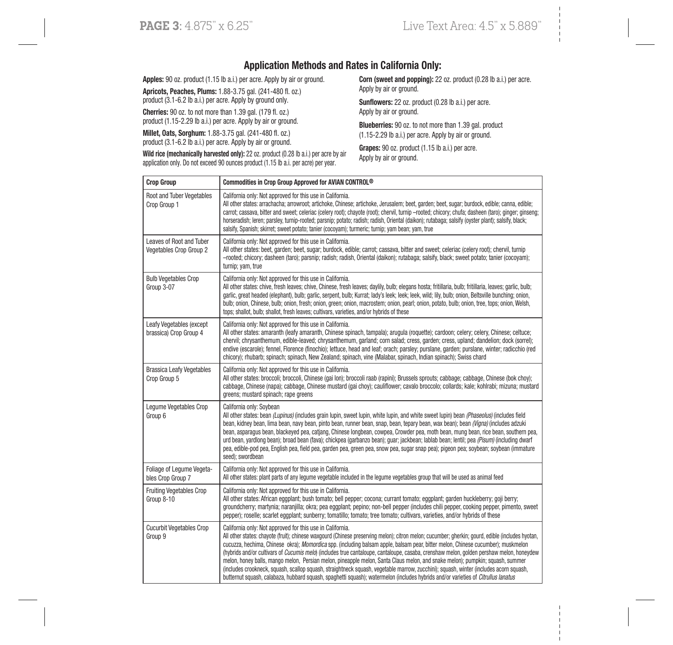### Application Methods and Rates in California Only:

Apples: 90 oz. product (1.15 lb a.i.) per acre. Apply by air or ground.

Apricots, Peaches, Plums: 1.88-3.75 gal. (241-480 fl. oz.) product (3.1-6.2 lb a.i.) per acre. Apply by ground only.

Cherries: 90 oz. to not more than 1.39 gal. (179 fl. oz.) product (1.15-2.29 lb a.i.) per acre. Apply by air or ground.

Millet, Oats, Sorghum: 1.88-3.75 gal. (241-480 fl. oz.) product (3.1-6.2 lb a.i.) per acre. Apply by air or ground. Corn (sweet and popping): 22 oz. product (0.28 lb a.i.) per acre. Apply by air or ground.

Sunflowers: 22 oz. product (0.28 lb a.i.) per acre. Apply by air or ground.

Blueberries: 90 oz. to not more than 1.39 gal. product (1.15-2.29 lb a.i.) per acre. Apply by air or ground.

Grapes: 90 oz. product (1.15 lb a.i.) per acre. Apply by air or ground.

Wild rice (mechanically harvested only): 22 oz. product (0.28 lb a.i.) per acre by air application only. Do not exceed 90 ounces product (1.15 lb a.i. per acre) per year.

| <b>Crop Group</b>                                   | Commodities in Crop Group Approved for AVIAN CONTROL <sup>®</sup>                                                                                                                                                                                                                                                                                                                                                                                                                                                                                                                                                                                                                                                                                                                                                                                                                                                   |
|-----------------------------------------------------|---------------------------------------------------------------------------------------------------------------------------------------------------------------------------------------------------------------------------------------------------------------------------------------------------------------------------------------------------------------------------------------------------------------------------------------------------------------------------------------------------------------------------------------------------------------------------------------------------------------------------------------------------------------------------------------------------------------------------------------------------------------------------------------------------------------------------------------------------------------------------------------------------------------------|
| Root and Tuber Vegetables<br>Crop Group 1           | California only: Not approved for this use in California.<br>All other states: arrachacha; arrowroot; artichoke, Chinese; artichoke, Jerusalem; beet, garden; beet, sugar; burdock, edible; canna, edible;<br>carrot; cassava, bitter and sweet; celeriac (celery root); chayote (root); chervil, turnip -rooted; chicory; chufa; dasheen (taro); qinger; qinseng;<br>horseradish; leren; parsley, turnip-rooted; parsnip; potato; radish; radish, Oriental (daikon); rutabaga; salsify (oyster plant); salsify, black;<br>salsify, Spanish; skirret; sweet potato; tanier (cocoyam); turmeric; turnip; yam bean; yam, true                                                                                                                                                                                                                                                                                         |
| Leaves of Root and Tuber<br>Vegetables Crop Group 2 | California only: Not approved for this use in California.<br>All other states: beet, garden; beet, sugar; burdock, edible; carrot; cassava, bitter and sweet; celeriac (celery root); chervil, turnip<br>-rooted; chicory; dasheen (taro); parsnip; radish; radish, Oriental (daikon); rutabaga; salsify, black; sweet potato; tanier (cocoyam);<br>turnip; yam, true                                                                                                                                                                                                                                                                                                                                                                                                                                                                                                                                               |
| <b>Bulb Vegetables Crop</b><br>Group 3-07           | California only: Not approved for this use in California.<br>All other states: chive, fresh leaves; chive, Chinese, fresh leaves; daylily, bulb; elegans hosta; fritillaria, bulb; fritillaria, leaves; garlic, bulb;<br>garlic, great headed (elephant), bulb; garlic, serpent, bulb; Kurrat; lady's leek; leek; leek, wild; lily, bulb; onion, Beltsville bunching; onion,<br>bulb; onion, Chinese, bulb; onion, fresh; onion, green; onion, macrostem; onion, pearl; onion, potato, bulb; onion, tree, tops; onion, Welsh,<br>tops; shallot, bulb; shallot, fresh leaves; cultivars, varieties, and/or hybrids of these                                                                                                                                                                                                                                                                                          |
| Leafy Vegetables (except<br>brassica) Crop Group 4  | California only: Not approved for this use in California.<br>All other states: amaranth (leafy amaranth, Chinese spinach, tampala); aruqula (roquette); cardoon; celery; celery, Chinese; celtuce;<br>chervil; chrysanthemum, edible-leaved; chrysanthemum, garland; corn salad; cress, garden; cress, upland; dandelion; dock (sorrel);<br>endive (escarole); fennel, Florence (finochio); lettuce, head and leaf; orach; parsley; purslane, qarden; purslane, winter; radicchio (red<br>chicory); rhubarb; spinach; spinach, New Zealand; spinach, vine (Malabar, spinach, Indian spinach); Swiss chard                                                                                                                                                                                                                                                                                                           |
| <b>Brassica Leafy Vegetables</b><br>Crop Group 5    | California only: Not approved for this use in California.<br>All other states: broccoli; broccoli, Chinese (gai lon); broccoli raab (rapini); Brussels sprouts; cabbage; cabbage, Chinese (bok choy);<br>cabbage, Chinese (napa); cabbage, Chinese mustard (gai choy); cauliflower; cavalo broccolo; collards; kale; kohlrabi; mizuna; mustard<br>greens: mustard spinach: rape greens                                                                                                                                                                                                                                                                                                                                                                                                                                                                                                                              |
| Legume Vegetables Crop<br>Group 6                   | California only: Sovbean<br>All other states: bean (Lupinus) (includes grain lupin, sweet lupin, white lupin, and white sweet lupin) bean (Phaseolus) (includes field<br>bean, kidney bean, lima bean, navy bean, pinto bean, runner bean, snap, bean, tepary bean, wax bean); bean (Vigna) (includes adzuki<br>bean, asparaqus bean, blackeyed pea, catjang, Chinese longbean, cowpea, Crowder pea, moth bean, mung bean, rice bean, southern pea,<br>urd bean, yardlong bean); broad bean (fava); chickpea (garbanzo bean); guar; jackbean; lablab bean; lentil; pea (Pisum) (including dwarf<br>pea, edible-pod pea, English pea, field pea, garden pea, green pea, snow pea, sugar snap pea); pigeon pea; soybean; soybean (immature<br>seed); swordbean                                                                                                                                                        |
| Foliage of Legume Vegeta-<br>bles Crop Group 7      | California only: Not approved for this use in California.<br>All other states: plant parts of any lequme vegetable included in the lequme vegetables group that will be used as animal feed                                                                                                                                                                                                                                                                                                                                                                                                                                                                                                                                                                                                                                                                                                                         |
| <b>Fruiting Vegetables Crop</b><br>Group 8-10       | California only: Not approved for this use in California.<br>All other states: African eggplant; bush tomato; bell pepper; cocona; currant tomato; eggplant; garden huckleberry; goji berry;<br>groundcherry; martynia; naranjilla; okra; pea eggplant; pepino; non-bell pepper (includes chili pepper, cooking pepper, pimento, sweet<br>pepper); roselle; scarlet eqqplant; sunberry; tomatillo; tomato; tree tomato; cultivars, varieties, and/or hybrids of these                                                                                                                                                                                                                                                                                                                                                                                                                                               |
| <b>Cucurbit Vegetables Crop</b><br>Group 9          | California only: Not approved for this use in California.<br>All other states: chayote (fruit); chinese waxgourd (Chinese preserving melon); citron melon; cucumber; gherkin; gourd, edible (includes hyotan,<br>cucuzza, hechima, Chinese okra); Momordica spp. (including balsam apple, balsam pear, bitter melon, Chinese cucumber); muskmelon<br>(hybrids and/or cultivars of Cucumis melo) (includes true cantaloupe, cantaloupe, casaba, crenshaw melon, golden pershaw melon, honeydew<br>melon, honey balls, mango melon. Persian melon, pineapple melon, Santa Claus melon, and snake melon); pumpkin; squash, summer<br>(includes crookneck, squash, scallop squash, straightneck squash, vegetable marrow, zucchini); squash, winter (includes acorn squash,<br>butternut squash, calabaza, hubbard squash, spaghetti squash); watermelon (includes hybrids and/or varieties of <i>Citrullus lanatus</i> |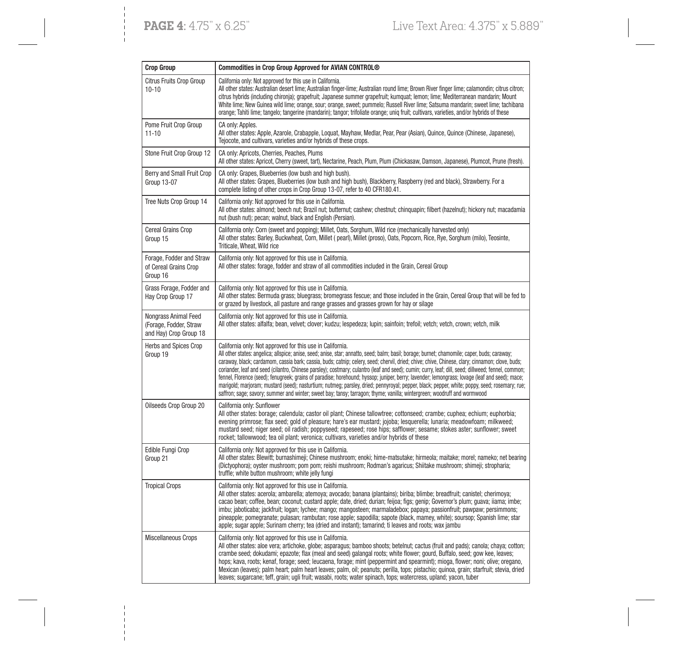| <b>Crop Group</b>                                                        | Commodities in Crop Group Approved for AVIAN CONTROL®                                                                                                                                                                                                                                                                                                                                                                                                                                                                                                                                                                                                                                                                                                                                                                                                                                                                                              |
|--------------------------------------------------------------------------|----------------------------------------------------------------------------------------------------------------------------------------------------------------------------------------------------------------------------------------------------------------------------------------------------------------------------------------------------------------------------------------------------------------------------------------------------------------------------------------------------------------------------------------------------------------------------------------------------------------------------------------------------------------------------------------------------------------------------------------------------------------------------------------------------------------------------------------------------------------------------------------------------------------------------------------------------|
| Citrus Fruits Crop Group<br>$10 - 10$                                    | California only: Not approved for this use in California.<br>All other states: Australian desert lime; Australian finger-lime; Australian round lime; Brown River finger lime; calamondin; citrus citron;<br>citrus hybrids (including chironia); grapefruit; Japanese summer grapefruit; kumquat; lemon; lime; Mediterranean mandarin; Mount<br>White lime; New Guinea wild lime; orange, sour; orange, sweet; pummelo; Russell River lime; Satsuma mandarin; sweet lime; tachibana<br>orange; Tahiti lime; tangelo; tangerine (mandarin); tangor; trifoliate orange; uniq fruit; cultivars, varieties, and/or hybrids of these                                                                                                                                                                                                                                                                                                                   |
| Pome Fruit Crop Group<br>$11 - 10$                                       | CA only: Apples.<br>All other states: Apple, Azarole, Crabapple, Loquat, Mayhaw, Medlar, Pear, Pear (Asian), Quince, Quince (Chinese, Japanese),<br>Tejocote, and cultivars, varieties and/or hybrids of these crops.                                                                                                                                                                                                                                                                                                                                                                                                                                                                                                                                                                                                                                                                                                                              |
| Stone Fruit Crop Group 12                                                | CA only: Apricots, Cherries, Peaches, Plums<br>All other states: Apricot, Cherry (sweet, tart), Nectarine, Peach, Plum, Plum (Chickasaw, Damson, Japanese), Plumcot, Prune (fresh).                                                                                                                                                                                                                                                                                                                                                                                                                                                                                                                                                                                                                                                                                                                                                                |
| Berry and Small Fruit Crop<br>Group 13-07                                | CA only: Grapes, Blueberries (low bush and high bush).<br>All other states: Grapes, Blueberries (low bush and high bush), Blackberry, Raspberry (red and black), Strawberry. For a<br>complete listing of other crops in Crop Group 13-07, refer to 40 CFR180.41.                                                                                                                                                                                                                                                                                                                                                                                                                                                                                                                                                                                                                                                                                  |
| Tree Nuts Crop Group 14                                                  | California only: Not approved for this use in California.<br>All other states: almond; beech nut; Brazil nut; butternut; cashew; chestnut; chinquapin; filbert (hazelnut); hickory nut; macadamia<br>nut (bush nut); pecan; walnut, black and English (Persian).                                                                                                                                                                                                                                                                                                                                                                                                                                                                                                                                                                                                                                                                                   |
| Cereal Grains Crop<br>Group 15                                           | California only: Corn (sweet and popping); Millet, Oats, Sorghum, Wild rice (mechanically harvested only)<br>All other states: Barley, Buckwheat, Corn, Millet (pearl), Millet (proso), Oats, Popcorn, Rice, Rye, Sorghum (milo), Teosinte,<br>Triticale, Wheat, Wild rice                                                                                                                                                                                                                                                                                                                                                                                                                                                                                                                                                                                                                                                                         |
| Forage, Fodder and Straw<br>of Cereal Grains Crop<br>Group 16            | California only: Not approved for this use in California.<br>All other states: forage, fodder and straw of all commodities included in the Grain, Cereal Group                                                                                                                                                                                                                                                                                                                                                                                                                                                                                                                                                                                                                                                                                                                                                                                     |
| Grass Forage, Fodder and<br>Hay Crop Group 17                            | California only: Not approved for this use in California.<br>All other states: Bermuda grass; bluegrass; bromegrass fescue; and those included in the Grain, Cereal Group that will be fed to<br>or grazed by livestock, all pasture and range grasses and grasses grown for hay or silage                                                                                                                                                                                                                                                                                                                                                                                                                                                                                                                                                                                                                                                         |
| Nongrass Animal Feed<br>(Forage, Fodder, Straw<br>and Hay) Crop Group 18 | California only: Not approved for this use in California.<br>All other states: alfalfa; bean, velvet; clover; kudzu; lespedeza; lupin; sainfoin; trefoil; vetch; vetch, crown; vetch, milk                                                                                                                                                                                                                                                                                                                                                                                                                                                                                                                                                                                                                                                                                                                                                         |
| Herbs and Spices Crop<br>Group 19                                        | California only: Not approved for this use in California.<br>All other states: angelica; allspice; anise, seed; anise, star; annatto, seed; balm; basil; borage; burnet; chamomile; caper, buds; caraway;<br>caraway, black; cardamom, cassia bark; cassia, buds; catnip; celery, seed; chervil, dried; chive; chive, Chinese, clary; cinnamon; clove, buds;<br>coriander, leaf and seed (cilantro, Chinese parsley); costmary; culantro (leaf and seed); cumin; curry, leaf; dill, seed; dillweed; fennel, common;<br>fennel, Florence (seed); fenugreek; grains of paradise; horehound; hyssop; juniper, berry; lavender; lemongrass; lovage (leaf and seed); mace;<br>marigold; marjoram; mustard (seed); nasturtium; nutmeg; parsley, dried; pennyroyal; pepper, black; pepper, white; poppy, seed; rosemary; rue;<br>saffron; sage; savory; summer and winter; sweet bay; tansy; tarragon; thyme; vanilla; wintergreen; woodruff and wormwood |
| Oilseeds Crop Group 20                                                   | California only: Sunflower<br>All other states: borage; calendula; castor oil plant; Chinese tallowtree; cottonseed; crambe; cuphea; echium; euphorbia;<br>evening primrose; flax seed; gold of pleasure; hare's ear mustard; jojoba; lesquerella; lunaria; meadowfoam; milkweed;<br>mustard seed; niger seed; oil radish; poppyseed; rapeseed; rose hips; safflower; sesame; stokes aster; sunflower; sweet<br>rocket; tallowwood; tea oil plant; veronica; cultivars, varieties and/or hybrids of these                                                                                                                                                                                                                                                                                                                                                                                                                                          |
| Edible Fungi Crop<br>Group 21                                            | California only: Not approved for this use in California.<br>All other states: Blewitt; burnashimeji; Chinese mushroom; enoki; hime-matsutake; hirmeola; maitake; morel; nameko; net bearing<br>(Dictyophora); oyster mushroom; pom pom; reishi mushroom; Rodman's agaricus; Shiitake mushroom; shimeji; stropharia;<br>truffle; white button mushroom; white jelly fungi                                                                                                                                                                                                                                                                                                                                                                                                                                                                                                                                                                          |
| <b>Tropical Crops</b>                                                    | California only: Not approved for this use in California.<br>All other states: acerola; ambarella; atemoya; avocado; banana (plantains); biriba; blimbe; breadfruit; canistel; cherimoya;<br>cacao bean; coffee, bean; coconut; custard apple; date, dried; durian; feijoa; figs; genip; Governor's plum; quava; iiama; imbe;<br>imbu; jaboticaba; jackfruit; logan; lychee; mango; mangosteen; marmaladebox; papaya; passionfruit; pawpaw; persimmons;<br>pineapple; pomegranate; pulasan; rambutan; rose apple; sapodilla; sapote (black, mamey, white); soursop; Spanish lime; star<br>apple; sugar apple; Surinam cherry; tea (dried and instant); tamarind; ti leaves and roots; wax jambu                                                                                                                                                                                                                                                    |
| Miscellaneous Crops                                                      | California only: Not approved for this use in California.<br>All other states: aloe vera; artichoke, globe; asparagus; bamboo shoots; betelnut; cactus (fruit and pads); canola; chaya; cotton;<br>crambe seed; dokudami; epazote; flax (meal and seed) galangal roots; white flower; gourd, Buffalo, seed; gow kee, leaves;<br>hops; kava, roots; kenaf, forage; seed; leucaena, forage; mint (peppermint and spearmint); mioga, flower; noni; olive; oregano,<br>Mexican (leaves); palm heart; palm heart leaves; palm, oil; peanuts; perilla, tops; pistachio; quinoa, grain; starfruit; stevia, dried<br>leaves; sugarcane; teff, grain; ugli fruit; wasabi, roots; water spinach, tops; watercress, upland; yacon, tuber                                                                                                                                                                                                                      |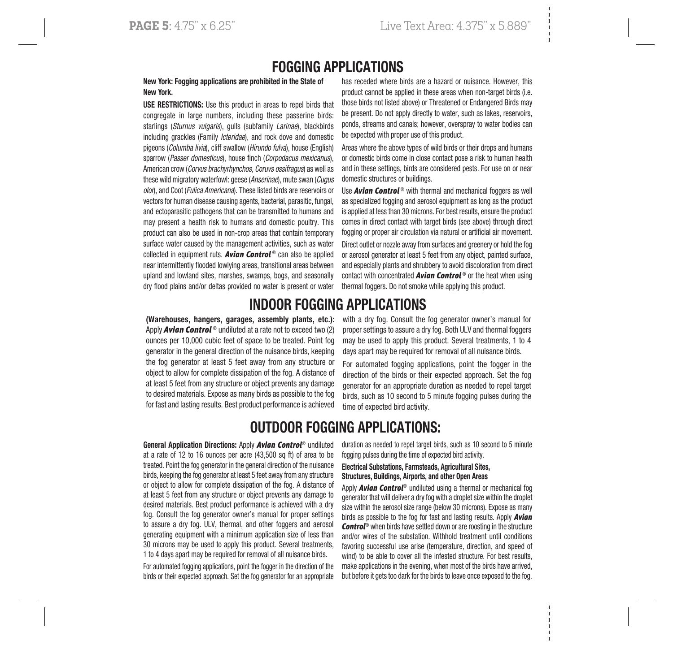## FOGGING APPLICATIONS

#### New York: Fogging applications are prohibited in the State of New York.

USE RESTRICTIONS: Use this product in areas to repel birds that congregate in large numbers, including these passerine birds: starlings (Sturnus vulgaris), gulls (subfamily Larinae), blackbirds including grackles (Family *Icteridae*), and rock dove and domestic pigeons (Columba livia), cliff swallow (Hirundo fulva), house (English) sparrow (Passer domesticus), house finch (Corpodacus mexicanus), American crow (Corvus brachyrhynchos, Coruvs ossifragus) as well as these wild migratory waterfowl: geese (Anserinae), mute swan (Cugus olor), and Coot (Fulica Americana). These listed birds are reservoirs or vectors for human disease causing agents, bacterial, parasitic, fungal, and ectoparasitic pathogens that can be transmitted to humans and may present a health risk to humans and domestic poultry. This product can also be used in non-crop areas that contain temporary surface water caused by the management activities, such as water collected in equipment ruts. *Avian Control* ® can also be applied near intermittently flooded lowlying areas, transitional areas between upland and lowland sites, marshes, swamps, bogs, and seasonally dry flood plains and/or deltas provided no water is present or water has receded where birds are a hazard or nuisance. However, this product cannot be applied in these areas when non-target birds (i.e. those birds not listed above) or Threatened or Endangered Birds may be present. Do not apply directly to water, such as lakes, reservoirs, ponds, streams and canals; however, overspray to water bodies can be expected with proper use of this product.

Areas where the above types of wild birds or their drops and humans or domestic birds come in close contact pose a risk to human health and in these settings, birds are considered pests. For use on or near domestic structures or buildings.

Use **Avian Control**<sup>®</sup> with thermal and mechanical foggers as well as specialized fogging and aerosol equipment as long as the product is applied at less than 30 microns. For best results, ensure the product comes in direct contact with target birds (see above) through direct fogging or proper air circulation via natural or artificial air movement.

Direct outlet or nozzle away from surfaces and greenery or hold the fog or aerosol generator at least 5 feet from any object, painted surface, and especially plants and shrubbery to avoid discoloration from direct contact with concentrated *Avian Control* ® or the heat when using thermal foggers. Do not smoke while applying this product.

## INDOOR FOGGING APPLICATIONS

(Warehouses, hangers, garages, assembly plants, etc.): Apply *Avian Control* ® undiluted at a rate not to exceed two (2) ounces per 10,000 cubic feet of space to be treated. Point fog generator in the general direction of the nuisance birds, keeping the fog generator at least 5 feet away from any structure or object to allow for complete dissipation of the fog. A distance of at least 5 feet from any structure or object prevents any damage to desired materials. Expose as many birds as possible to the fog for fast and lasting results. Best product performance is achieved

with a dry fog. Consult the fog generator owner's manual for proper settings to assure a dry fog. Both ULV and thermal foggers may be used to apply this product. Several treatments, 1 to 4 days apart may be required for removal of all nuisance birds.

For automated fogging applications, point the fogger in the direction of the birds or their expected approach. Set the fog generator for an appropriate duration as needed to repel target birds, such as 10 second to 5 minute fogging pulses during the time of expected bird activity.

## OUTDOOR FOGGING APPLICATIONS:

General Application Directions: Apply *Avian Control*® undiluted at a rate of 12 to 16 ounces per acre (43,500 sq ft) of area to be treated. Point the fog generator in the general direction of the nuisance birds, keeping the fog generator at least 5 feet away from any structure or object to allow for complete dissipation of the fog. A distance of at least 5 feet from any structure or object prevents any damage to desired materials. Best product performance is achieved with a dry fog. Consult the fog generator owner's manual for proper settings to assure a dry fog. ULV, thermal, and other foggers and aerosol generating equipment with a minimum application size of less than 30 microns may be used to apply this product. Several treatments, 1 to 4 days apart may be required for removal of all nuisance birds.

For automated fogging applications, point the fogger in the direction of the birds or their expected approach. Set the fog generator for an appropriate duration as needed to repel target birds, such as 10 second to 5 minute fogging pulses during the time of expected bird activity.

#### Electrical Substations, Farmsteads, Agricultural Sites, Structures, Buildings, Airports, and other Open Areas

Apply *Avian Control*® undiluted using a thermal or mechanical fog generator that will deliver a dry fog with a droplet size within the droplet size within the aerosol size range (below 30 microns). Expose as many birds as possible to the fog for fast and lasting results. Apply *Avian Control*® when birds have settled down or are roosting in the structure and/or wires of the substation. Withhold treatment until conditions favoring successful use arise (temperature, direction, and speed of wind) to be able to cover all the infested structure. For best results, make applications in the evening, when most of the birds have arrived, but before it gets too dark for the birds to leave once exposed to the fog.